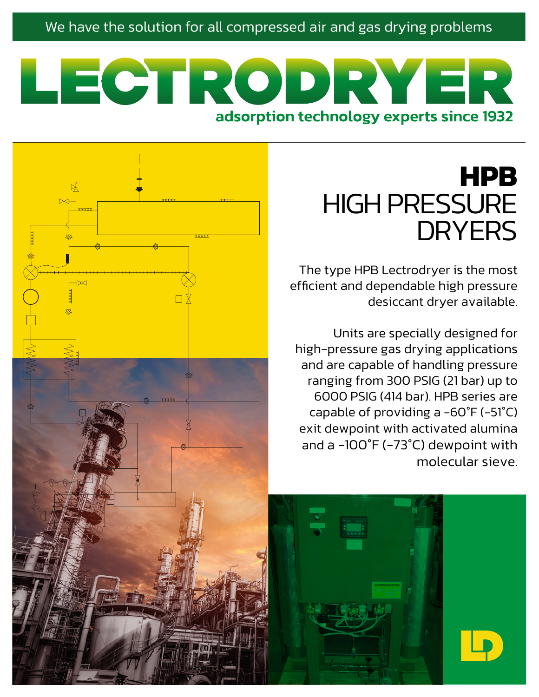#### We have the solution for all compressed air and gas drying problems

# LECTRODRY adsorption technology experts since 1932

# **HPB** HIGH PRESSURE **DRYERS**

The type HPB Lectrodryer is the most efficient and dependable high pressure desiccant dryer available.

Units are specially designed for high-pressure gas drying applications and are capable of handling pressure ranging from 300 PSIG (21 bar) up to 6000 PSIG (414 bar). HPB series are capable of providing a -60°F (-51°C) exit dewpoint with activated alumina and a -100°F (-73°C) dewpoint with molecular sieve.

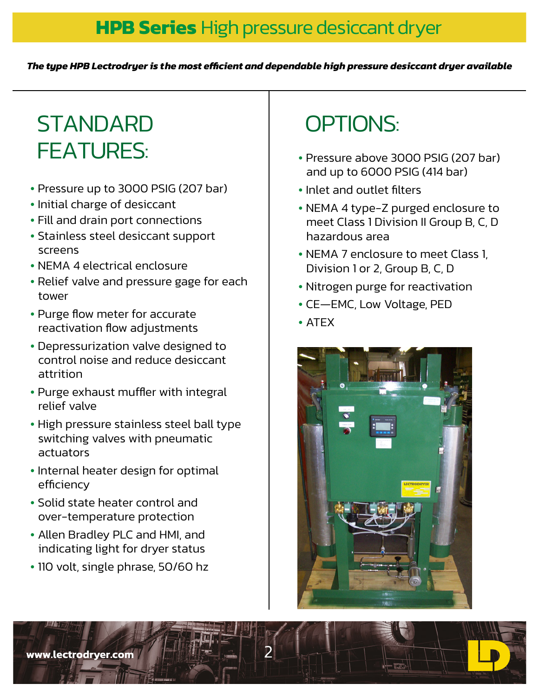### **HPB Series** High pressure desiccant dryer

*The type HPB Lectrodryer is the most efficient and dependable high pressure desiccant dryer available* 

# **STANDARD** FEATURES: • Pressure above 3000 PSIG (207 bar)

- Pressure up to 3000 PSIG (207 bar)
- Initial charge of desiccant
- Fill and drain port connections
- Stainless steel desiccant support screens
- NEMA 4 electrical enclosure
- Relief valve and pressure gage for each tower
- Purge flow meter for accurate reactivation flow adjustments
- Depressurization valve designed to control noise and reduce desiccant attrition
- Purge exhaust muffler with integral relief valve
- High pressure stainless steel ball type switching valves with pneumatic actuators
- Internal heater design for optimal efficiency
- Solid state heater control and over-temperature protection
- Allen Bradley PLC and HMI, and indicating light for dryer status
- 110 volt, single phrase, 50/60 hz

# OPTIONS:

- and up to 6000 PSIG (414 bar)
- Inlet and outlet filters
- NEMA 4 type-Z purged enclosure to meet Class 1 Division II Group B, C, D hazardous area
- NEMA 7 enclosure to meet Class 1, Division 1 or 2, Group B, C, D
- Nitrogen purge for reactivation
- CE—EMC, Low Voltage, PED
- ATEX



www.lectrodrver.com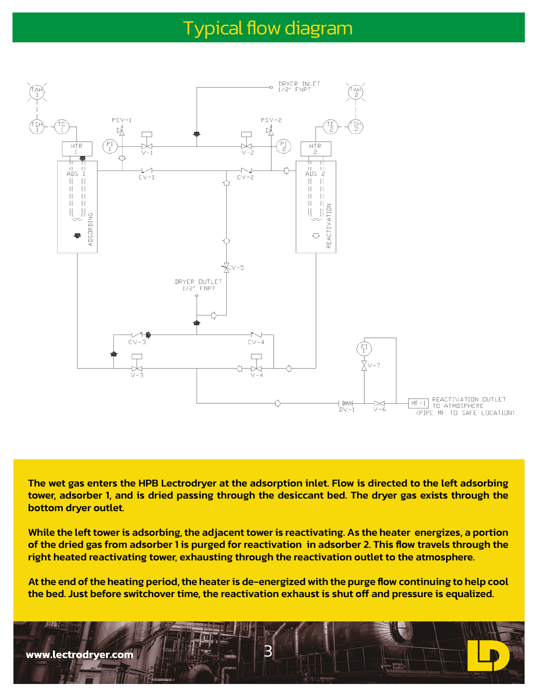### Typical flow diagram



The wet gas enters the HPB Lectrodryer at the adsorption inlet. Flow is directed to the left adsorbing tower, adsorber 1, and is dried passing through the desiccant bed. The dryer gas exists through the bottom dryer outlet.

While the left tower is adsorbing, the adjacent tower is reactivating. As the heater energizes, a portion of the dried gas from adsorber 1 is purged for reactivation in adsorber 2. This flow travels through the right heated reactivating tower, exhausting through the reactivation outlet to the atmosphere.

At the end of the heating period, the heater is de-energized with the purge flow continuing to help cool the bed. Just before switchover time, the reactivation exhaust is shut off and pressure is equalized.

 $\overline{\mathsf{B}}$ 

www.lectrodrver.com